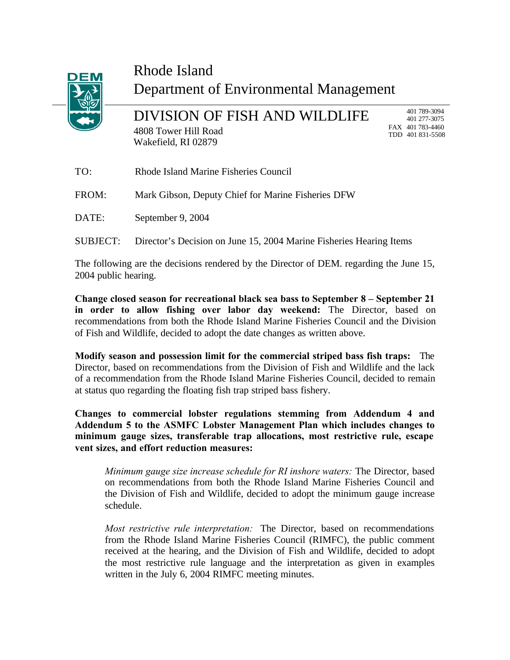## Rhode Island



## Department of Environmental Management

DIVISION OF FISH AND WILDLIFE 4808 Tower Hill Road Wakefield, RI 02879

 401 789-3094 401 277-3075 FAX 401 783-4460 TDD 401 831-5508

| TO:   | Rhode Island Marine Fisheries Council                                        |
|-------|------------------------------------------------------------------------------|
| FROM: | Mark Gibson, Deputy Chief for Marine Fisheries DFW                           |
| DATE: | September 9, 2004                                                            |
|       | SUBJECT: Director's Decision on June 15, 2004 Marine Fisheries Hearing Items |

The following are the decisions rendered by the Director of DEM. regarding the June 15, 2004 public hearing.

**Change closed season for recreational black sea bass to September 8 – September 21 in order to allow fishing over labor day weekend:** The Director, based on recommendations from both the Rhode Island Marine Fisheries Council and the Division of Fish and Wildlife, decided to adopt the date changes as written above.

**Modify season and possession limit for the commercial striped bass fish traps:** The Director, based on recommendations from the Division of Fish and Wildlife and the lack of a recommendation from the Rhode Island Marine Fisheries Council, decided to remain at status quo regarding the floating fish trap striped bass fishery.

**Changes to commercial lobster regulations stemming from Addendum 4 and Addendum 5 to the ASMFC Lobster Management Plan which includes changes to minimum gauge sizes, transferable trap allocations, most restrictive rule, escape vent sizes, and effort reduction measures:**

*Minimum gauge size increase schedule for RI inshore waters:* The Director, based on recommendations from both the Rhode Island Marine Fisheries Council and the Division of Fish and Wildlife, decided to adopt the minimum gauge increase schedule.

*Most restrictive rule interpretation:* The Director, based on recommendations from the Rhode Island Marine Fisheries Council (RIMFC), the public comment received at the hearing, and the Division of Fish and Wildlife, decided to adopt the most restrictive rule language and the interpretation as given in examples written in the July 6, 2004 RIMFC meeting minutes.